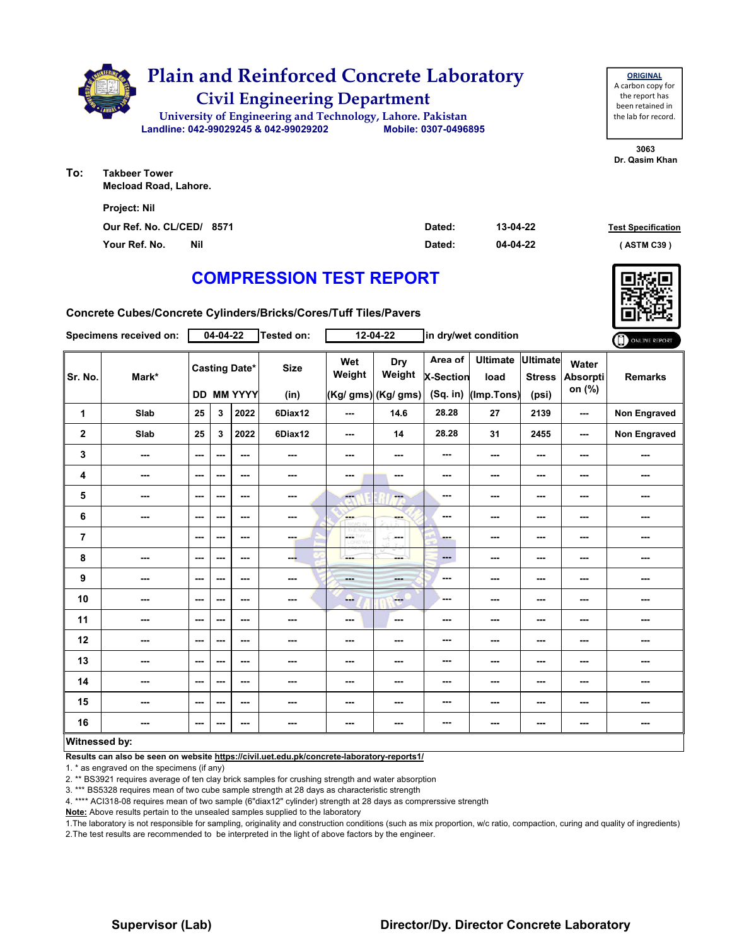

**3063 Dr. Qasim Khan**

**ORIGINAL**

**To: Takbeer Tower Mecload Road, Lahore.**

| <b>Project: Nil</b>         |        |          |                           |
|-----------------------------|--------|----------|---------------------------|
| Our Ref. No. CL/CED/ 8571   | Dated: | 13-04-22 | <b>Test Specification</b> |
| Your Ref. No.<br><b>Nil</b> | Dated: | 04-04-22 | (ASTM C39)                |

## **COMPRESSION TEST REPORT**

**Concrete Cubes/Concrete Cylinders/Bricks/Cores/Tuff Tiles/Pavers**

|                      | Specimens received on: |                                    | $04 - 04 - 22$ |               | <b>Tested on:</b>   |                          | $12 - 04 - 22$                       |                                           | in dry/wet condition                  |                                           |                                    | ONLINE REPORT  |
|----------------------|------------------------|------------------------------------|----------------|---------------|---------------------|--------------------------|--------------------------------------|-------------------------------------------|---------------------------------------|-------------------------------------------|------------------------------------|----------------|
| Sr. No.              | Mark*                  | <b>Casting Date*</b><br>DD MM YYYY |                |               | <b>Size</b><br>(in) | Wet<br>Weight            | Dry<br>Weight<br>(Kg/ gms) (Kg/ gms) | Area of<br><b>X-Section</b><br>$(Sq.$ in) | <b>Ultimate</b><br>load<br>(Imp.Tons) | <b>Ultimate</b><br><b>Stress</b><br>(psi) | Water<br><b>Absorpti</b><br>on (%) | <b>Remarks</b> |
| 1                    | Slab                   | 25                                 | 3              | 2022          | 6Diax12             | ---                      | 14.6                                 | 28.28                                     | 27                                    | 2139                                      | ---                                | Non Engraved   |
| $\mathbf{2}$         | Slab                   | 25                                 | 3              | 2022          | 6Diax12             | ---                      | 14                                   | 28.28                                     | 31                                    | 2455                                      | ---                                | Non Engraved   |
| 3                    | ---                    | ---                                | ---            | ---           | ---                 | ---                      | ---                                  | ---                                       | ---                                   | $--$                                      | ---                                | ---            |
| 4                    | ---                    | ---                                | ---            | ---           | ---                 | ---                      | $\cdots$                             | ---                                       | ---                                   | ---                                       | ---                                | ---            |
| 5                    | ---                    | ---                                | ---            | ---           | ---                 | $-1$                     | ---                                  | ---                                       | ---                                   | $--$                                      | ---                                | ---            |
| 6                    | ---                    | $\sim$ $\sim$                      | ---            | $\sim$ $\sim$ | $\sim$              | <b>Albert</b>            | ---                                  | ---                                       | ---                                   | ---                                       | ---                                | ---            |
| $\overline{7}$       |                        | ---                                | ---            | ---           | ---                 | <b>LOETHY</b><br>LORD WH | -16<br>---                           | ---                                       | ---                                   | ---                                       | ---                                | ---            |
| 8                    | ---                    | ---                                | ---            | ---           | --                  | ---                      | ---                                  | ---                                       | ---                                   | ---                                       | ---                                | ---            |
| $\boldsymbol{9}$     | ---                    | ---                                | ---            | ---           | ---                 | $- - -$                  | ---                                  | ---                                       | ---                                   | ---                                       | ---                                | ---            |
| 10                   | ---                    | $- - -$                            | ---            | ---           | ---                 | ---                      | $-1$                                 | ---                                       | ---                                   | ---                                       | ---                                | ---            |
| 11                   | ---                    | $\sim$ $\sim$                      | ---            | ---           | ---                 | $\overline{\phantom{a}}$ | $\sim$ $\sim$                        | ---                                       | $--$                                  | $--$                                      | ---                                | ---            |
| 12                   | ---                    | ---                                | ---            | ---           | ---                 | ---                      | ---                                  | ---                                       | ---                                   | ---                                       | ---                                | ---            |
| 13                   | ---                    | ---                                | ---            | ---           | ---                 | ---                      | ---                                  | ---                                       | ---                                   | ---                                       | ---                                | ---            |
| 14                   | ---                    | ---                                | ---            | ---           | ---                 | ---                      | ---                                  | ---                                       | ---                                   | ---                                       | ---                                | ---            |
| 15                   | ---                    | $\overline{\phantom{a}}$           | ---            | ---           | $\sim$              | ---                      | ---                                  | ---                                       | ---                                   | ---                                       | ---                                | ---            |
| 16                   | ---                    | $\overline{\phantom{a}}$           | ---            | ---           | ---                 | ---                      | ---                                  | ---                                       | ---                                   | ---                                       | ---                                | ---            |
| <b>Witnessed by:</b> |                        |                                    |                |               |                     |                          |                                      |                                           |                                       |                                           |                                    |                |

## **Witnessed by:**

**Results can also be seen on website https://civil.uet.edu.pk/concrete-laboratory-reports1/**

1. \* as engraved on the specimens (if any)

2. \*\* BS3921 requires average of ten clay brick samples for crushing strength and water absorption

3. \*\*\* BS5328 requires mean of two cube sample strength at 28 days as characteristic strength

4. \*\*\*\* ACI318-08 requires mean of two sample (6"diax12" cylinder) strength at 28 days as comprerssive strength

**Note:** Above results pertain to the unsealed samples supplied to the laboratory

1.The laboratory is not responsible for sampling, originality and construction conditions (such as mix proportion, w/c ratio, compaction, curing and quality of ingredients) 2.The test results are recommended to be interpreted in the light of above factors by the engineer.